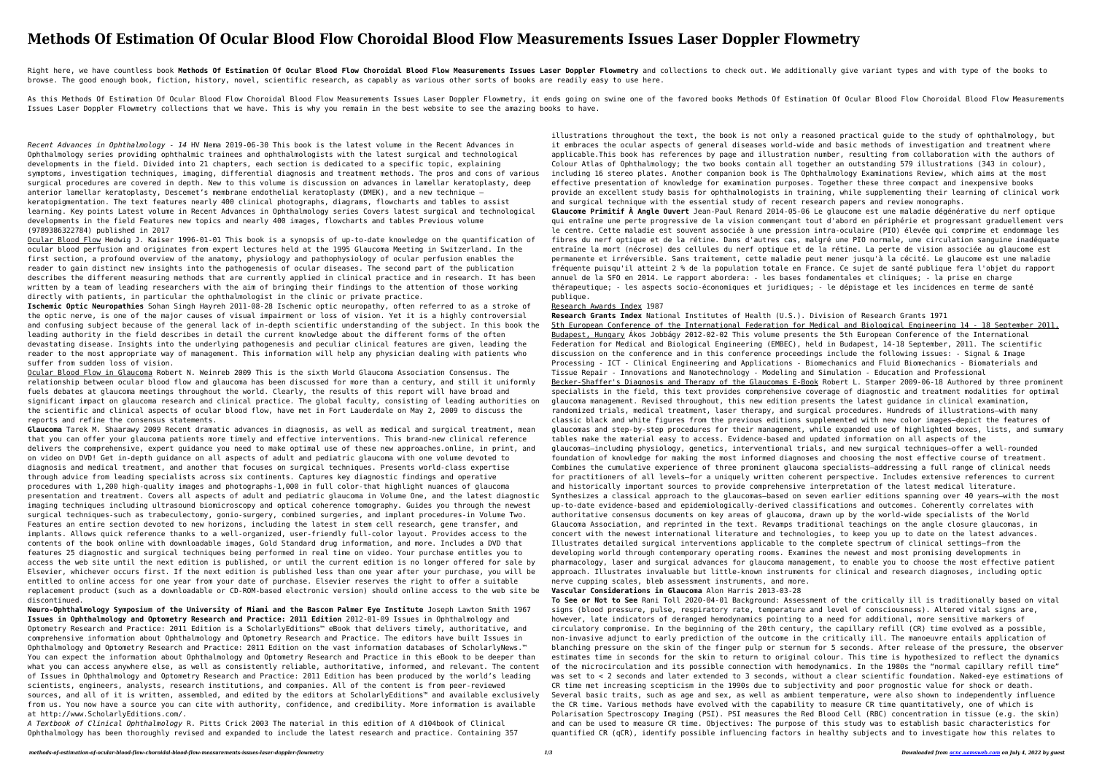## **Methods Of Estimation Of Ocular Blood Flow Choroidal Blood Flow Measurements Issues Laser Doppler Flowmetry**

Right here, we have countless book Methods Of Estimation Of Ocular Blood Flow Choroidal Blood Flow Measurements Issues Laser Doppler Flowmetry and collections to check out. We additionally give variant types and with type browse. The good enough book, fiction, history, novel, scientific research, as capably as various other sorts of books are readily easy to use here.

As this Methods Of Estimation Of Ocular Blood Flow Choroidal Blood Flow Measurements Issues Laser Doppler Flowmetry, it ends going on swine one of the favored books Methods Of Estimation Of Ocular Blood Flow Choroidal Bloo Issues Laser Doppler Flowmetry collections that we have. This is why you remain in the best website to see the amazing books to have.

*Recent Advances in Ophthalmology - 14* HV Nema 2019-06-30 This book is the latest volume in the Recent Advances in Ophthalmology series providing ophthalmic trainees and ophthalmologists with the latest surgical and technological developments in the field. Divided into 21 chapters, each section is dedicated to a specific topic, explaining symptoms, investigation techniques, imaging, differential diagnosis and treatment methods. The pros and cons of various surgical procedures are covered in depth. New to this volume is discussion on advances in lamellar keratoplasty, deep anterior lamellar keratoplasty, Descemet's membrane endothelial keratoplasty (DMEK), and a new technique – keratopigmentation. The text features nearly 400 clinical photographs, diagrams, flowcharts and tables to assist learning. Key points Latest volume in Recent Advances in Ophthalmology series Covers latest surgical and technological developments in the field Features new topics and nearly 400 images, flowcharts and tables Previous volume (9789386322784) published in 2017

Ocular Blood Flow Hedwig J. Kaiser 1996-01-01 This book is a synopsis of up-to-date knowledge on the quantification of ocular blood perfusion and originates from expert lectures held at the 1995 Glaucoma Meeting in Switzerland. In the first section, a profound overview of the anatomy, physiology and pathophysiology of ocular perfusion enables the reader to gain distinct new insights into the pathogenesis of ocular diseases. The second part of the publication describes the different measuring methods that are currently applied in clinical practice and in research. It has been written by a team of leading researchers with the aim of bringing their findings to the attention of those working directly with patients, in particular the ophthalmologist in the clinic or private practice.

**Ischemic Optic Neuropathies** Sohan Singh Hayreh 2011-08-28 Ischemic optic neuropathy, often referred to as a stroke of the optic nerve, is one of the major causes of visual impairment or loss of vision. Yet it is a highly controversial and confusing subject because of the general lack of in-depth scientific understanding of the subject. In this book the leading authority in the field describes in detail the current knowledge about the different forms of the often devastating disease. Insights into the underlying pathogenesis and peculiar clinical features are given, leading the reader to the most appropriate way of management. This information will help any physician dealing with patients who suffer from sudden loss of vision.

Ocular Blood Flow in Glaucoma Robert N. Weinreb 2009 This is the sixth World Glaucoma Association Consensus. The relationship between ocular blood flow and glaucoma has been discussed for more than a century, and still it uniformly fuels debates at glaucoma meetings throughout the world. Clearly, the results of this report will have broad and significant impact on glaucoma research and clinical practice. The global faculty, consisting of leading authorities on the scientific and clinical aspects of ocular blood flow, have met in Fort Lauderdale on May 2, 2009 to discuss the reports and refine the consensus statements.

**Glaucoma** Tarek M. Shaarawy 2009 Recent dramatic advances in diagnosis, as well as medical and surgical treatment, mean that you can offer your glaucoma patients more timely and effective interventions. This brand-new clinical reference delivers the comprehensive, expert guidance you need to make optimal use of these new approaches.online, in print, and on video on DVD! Get in-depth guidance on all aspects of adult and pediatric glaucoma with one volume devoted to diagnosis and medical treatment, and another that focuses on surgical techniques. Presents world-class expertise through advice from leading specialists across six continents. Captures key diagnostic findings and operative procedures with 1,200 high-quality images and photographs-1,000 in full color-that highlight nuances of glaucoma presentation and treatment. Covers all aspects of adult and pediatric glaucoma in Volume One, and the latest diagnostic imaging techniques including ultrasound biomicroscopy and optical coherence tomography. Guides you through the newest surgical techniques-such as trabeculectomy, gonio-surgery, combined surgeries, and implant procedures-in Volume Two. Features an entire section devoted to new horizons, including the latest in stem cell research, gene transfer, and implants. Allows quick reference thanks to a well-organized, user-friendly full-color layout. Provides access to the contents of the book online with downloadable images, Gold Standard drug information, and more. Includes a DVD that features 25 diagnostic and surgical techniques being performed in real time on video. Your purchase entitles you to access the web site until the next edition is published, or until the current edition is no longer offered for sale by Elsevier, whichever occurs first. If the next edition is published less than one year after your purchase, you will be entitled to online access for one year from your date of purchase. Elsevier reserves the right to offer a suitable replacement product (such as a downloadable or CD-ROM-based electronic version) should online access to the web site be discontinued.

**Neuro-Ophthalmology Symposium of the University of Miami and the Bascom Palmer Eye Institute** Joseph Lawton Smith 1967 **Issues in Ophthalmology and Optometry Research and Practice: 2011 Edition** 2012-01-09 Issues in Ophthalmology and Optometry Research and Practice: 2011 Edition is a ScholarlyEditions™ eBook that delivers timely, authoritative, and comprehensive information about Ophthalmology and Optometry Research and Practice. The editors have built Issues in Ophthalmology and Optometry Research and Practice: 2011 Edition on the vast information databases of ScholarlyNews.™ You can expect the information about Ophthalmology and Optometry Research and Practice in this eBook to be deeper than what you can access anywhere else, as well as consistently reliable, authoritative, informed, and relevant. The content of Issues in Ophthalmology and Optometry Research and Practice: 2011 Edition has been produced by the world's leading scientists, engineers, analysts, research institutions, and companies. All of the content is from peer-reviewed sources, and all of it is written, assembled, and edited by the editors at ScholarlyEditions™ and available exclusively from us. You now have a source you can cite with authority, confidence, and credibility. More information is available at http://www.ScholarlyEditions.com/.

*A Textbook of Clinical Ophthalmology* R. Pitts Crick 2003 The material in this edition of A d104book of Clinical Ophthalmology has been thoroughly revised and expanded to include the latest research and practice. Containing 357 illustrations throughout the text, the book is not only a reasoned practical guide to the study of ophthalmology, but it embraces the ocular aspects of general diseases world-wide and basic methods of investigation and treatment where applicable.This book has references by page and illustration number, resulting from collaboration with the authors of Colour Atlas of Ophthalmology; the two books contain all together an outstanding 579 illustrations (343 in colour), including 16 stereo plates. Another companion book is The Ophthalmology Examinations Review, which aims at the most effective presentation of knowledge for examination purposes. Together these three compact and inexpensive books provide an excellent study basis for ophthalmologists in training, while supplementing their learning of clinical work and surgical technique with the essential study of recent research papers and review monographs. **Glaucome Primitif À Angle Ouvert** Jean-Paul Renard 2014-05-06 Le glaucome est une maladie dégénérative du nerf optique qui entraîne une perte progressive de la vision commençant tout d'abord en périphérie et progressant graduellement vers le centre. Cette maladie est souvent associée à une pression intra-oculaire (PIO) élevée qui comprime et endommage les fibres du nerf optique et de la rétine. Dans d'autres cas, malgré une PIO normale, une circulation sanguine inadéquate entraîne la mort (nécrose) des cellules du nerf optique et de la rétine. La perte de vision associée au glaucome est permanente et irréversible. Sans traitement, cette maladie peut mener jusqu'à la cécité. Le glaucome est une maladie fréquente puisqu'il atteint 2 % de la population totale en France. Ce sujet de santé publique fera l'objet du rapport annuel de la SFO en 2014. Le rapport abordera: - les bases fondamentales et cliniques; - la prise en charge thérapeutique; - les aspects socio-économiques et juridiques; - le dépistage et les incidences en terme de santé publique.

## Research Awards Index 1987

**Research Grants Index** National Institutes of Health (U.S.). Division of Research Grants 1971 5th European Conference of the International Federation for Medical and Biological Engineering 14 - 18 September 2011, Budapest, Hungary Ákos Jobbágy 2012-02-02 This volume presents the 5th European Conference of the International Federation for Medical and Biological Engineering (EMBEC), held in Budapest, 14-18 September, 2011. The scientific discussion on the conference and in this conference proceedings include the following issues: - Signal & Image Processing - ICT - Clinical Engineering and Applications - Biomechanics and Fluid Biomechanics - Biomaterials and Tissue Repair - Innovations and Nanotechnology - Modeling and Simulation - Education and Professional Becker-Shaffer's Diagnosis and Therapy of the Glaucomas E-Book Robert L. Stamper 2009-06-18 Authored by three prominent specialists in the field, this text provides comprehensive coverage of diagnostic and treatment modalities for optimal glaucoma management. Revised throughout, this new edition presents the latest guidance in clinical examination, randomized trials, medical treatment, laser therapy, and surgical procedures. Hundreds of illustrations—with many classic black and white figures from the previous editions supplemented with new color images—depict the features of glaucomas and step-by-step procedures for their management, while expanded use of highlighted boxes, lists, and summary tables make the material easy to access. Evidence-based and updated information on all aspects of the glaucomas—including physiology, genetics, interventional trials, and new surgical techniques—offer a well-rounded foundation of knowledge for making the most informed diagnoses and choosing the most effective course of treatment. Combines the cumulative experience of three prominent glaucoma specialists—addressing a full range of clinical needs for practitioners of all levels—for a uniquely written coherent perspective. Includes extensive references to current and historically important sources to provide comprehensive interpretation of the latest medical literature. Synthesizes a classical approach to the glaucomas—based on seven earlier editions spanning over 40 years—with the most up-to-date evidence-based and epidemiologically-derived classifications and outcomes. Coherently correlates with authoritative consensus documents on key areas of glaucoma, drawn up by the world-wide specialists of the World Glaucoma Association, and reprinted in the text. Revamps traditional teachings on the angle closure glaucomas, in concert with the newest international literature and technologies, to keep you up to date on the latest advances. Illustrates detailed surgical interventions applicable to the complete spectrum of clinical settings—from the developing world through contemporary operating rooms. Examines the newest and most promising developments in pharmacology, laser and surgical advances for glaucoma management, to enable you to choose the most effective patient approach. Illustrates invaluable but little-known instruments for clinical and research diagnoses, including optic nerve cupping scales, bleb assessment instruments, and more. **Vascular Considerations in Glaucoma** Alon Harris 2013-03-28

**To See or Not to See** Rani Toll 2020-04-01 Background: Assessment of the critically ill is traditionally based on vital signs (blood pressure, pulse, respiratory rate, temperature and level of consciousness). Altered vital signs are, however, late indicators of deranged hemodynamics pointing to a need for additional, more sensitive markers of circulatory compromise. In the beginning of the 20th century, the capillary refill (CR) time evolved as a possible, non-invasive adjunct to early prediction of the outcome in the critically ill. The manoeuvre entails application of blanching pressure on the skin of the finger pulp or sternum for 5 seconds. After release of the pressure, the observer estimates time in seconds for the skin to return to original colour. This time is hypothesized to reflect the dynamics of the microcirculation and its possible connection with hemodynamics. In the 1980s the "normal capillary refill time" was set to < 2 seconds and later extended to 3 seconds, without a clear scientific foundation. Naked-eye estimations of CR time met increasing scepticism in the 1990s due to subjectivity and poor prognostic value for shock or death. Several basic traits, such as age and sex, as well as ambient temperature, were also shown to independently influence the CR time. Various methods have evolved with the capability to measure CR time quantitatively, one of which is Polarisation Spectroscopy Imaging (PSI). PSI measures the Red Blood Cell (RBC) concentration in tissue (e.g. the skin) and can be used to measure CR time. Objectives: The purpose of this study was to establish basic characteristics for quantified CR (qCR), identify possible influencing factors in healthy subjects and to investigate how this relates to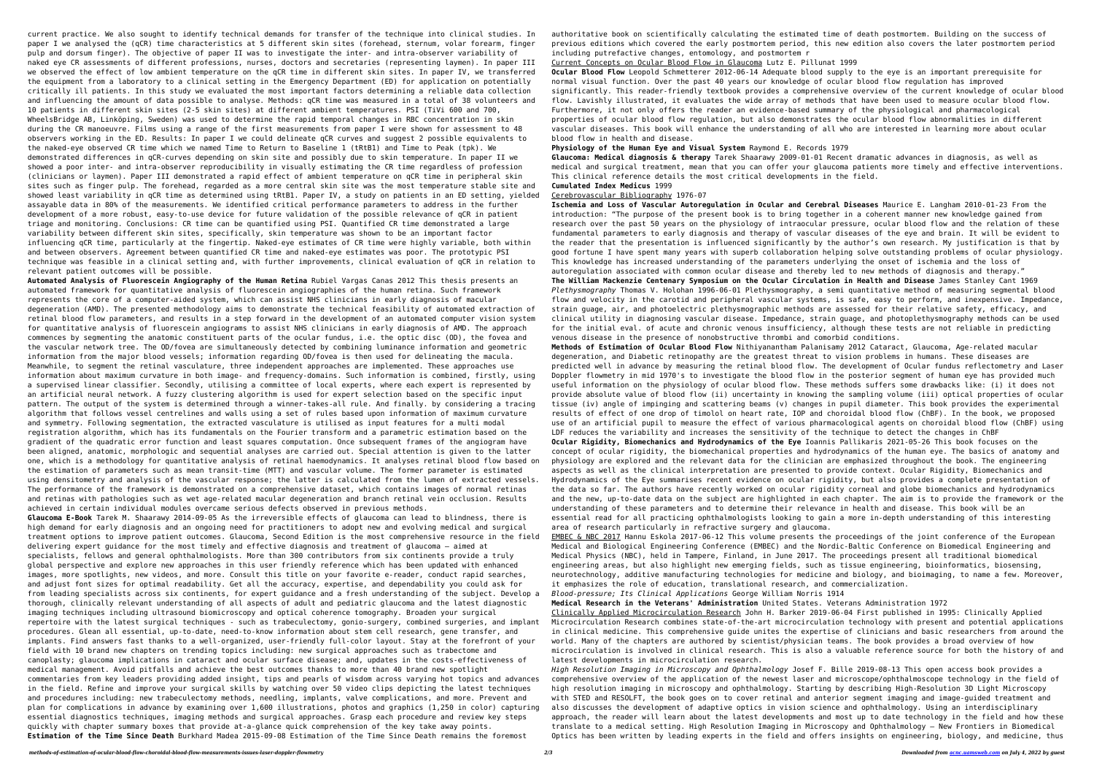current practice. We also sought to identify technical demands for transfer of the technique into clinical studies. In paper I we analysed the (qCR) time characteristics at 5 different skin sites (forehead, sternum, volar forearm, finger pulp and dorsum finger). The objective of paper II was to investigate the inter- and intra-observer variability of naked eye CR assessments of different professions, nurses, doctors and secretaries (representing laymen). In paper III we observed the effect of low ambient temperature on the qCR time in different skin sites. In paper IV, we transferred the equipment from a laboratory to a clinical setting in the Emergency Department (ED) for application on potentially critically ill patients. In this study we evaluated the most important factors determining a reliable data collection and influencing the amount of data possible to analyse. Methods: qCR time was measured in a total of 38 volunteers and 10 patients in different skin sites (2-5 skin sites) at different ambient temperatures. PSI (TiVi 600 and 700, WheelsBridge AB, Linköping, Sweden) was used to determine the rapid temporal changes in RBC concentration in skin during the CR manoeuvre. Films using a range of the first measurements from paper I were shown for assessment to 48 observers working in the ED. Results: In paper I we could delineate qCR curves and suggest 2 possible equivalents to the naked-eye observed CR time which we named Time to Return to Baseline 1 (tRtB1) and Time to Peak (tpk). We demonstrated differences in qCR-curves depending on skin site and possibly due to skin temperature. In paper II we showed a poor inter- and intra-observer reproducibility in visually estimating the CR time regardless of profession (clinicians or laymen). Paper III demonstrated a rapid effect of ambient temperature on qCR time in peripheral skin sites such as finger pulp. The forehead, regarded as a more central skin site was the most temperature stable site and showed least variability in qCR time as determined using tRtB1. Paper IV, a study on patients in an ED setting, yielded assayable data in 80% of the measurements. We identified critical performance parameters to address in the further development of a more robust, easy-to-use device for future validation of the possible relevance of qCR in patient triage and monitoring. Conclusions: CR time can be quantified using PSI. Quantified CR time demonstrated a large variability between different skin sites, specifically, skin temperature was shown to be an important factor influencing qCR time, particularly at the fingertip. Naked-eye estimates of CR time were highly variable, both within and between observers. Agreement between quantified CR time and naked-eye estimates was poor. The prototypic PSI technique was feasible in a clinical setting and, with further improvements, clinical evaluation of qCR in relation to relevant patient outcomes will be possible.

**Automated Analysis of Fluorescein Angiography of the Human Retina** Rubiel Vargas Canas 2012 This thesis presents an automated framework for quantitative analysis of fluorescein angiographies of the human retina. Such framework represents the core of a computer-aided system, which can assist NHS clinicians in early diagnosis of macular degeneration (AMD). The presented methodology aims to demonstrate the technical feasibility of automated extraction of retinal blood flow parameters, and results in a step forward in the development of an automated computer vision system for quantitative analysis of fluorescein angiograms to assist NHS clinicians in early diagnosis of AMD. The approach commences by segmenting the anatomic constituent parts of the ocular fundus, i.e. the optic disc (OD), the fovea and the vascular network tree. The OD/fovea are simultaneously detected by combining luminance information and geometric information from the major blood vessels; information regarding OD/fovea is then used for delineating the macula. Meanwhile, to segment the retinal vasculature, three independent approaches are implemented. These approaches use information about maximum curvature in both image- and frequency-domains. Such information is combined, firstly, using a supervised linear classifier. Secondly, utilising a committee of local experts, where each expert is represented by an artificial neural network. A fuzzy clustering algorithm is used for expert selection based on the specific input pattern. The output of the system is determined through a winner-takes-all rule. And finally. by considering a tracing algorithm that follows vessel centrelines and walls using a set of rules based upon information of maximum curvature and symmetry. Following segmentation, the extracted vasculature is utilised as input features for a multi modal registration algorithm, which has its fundamentals on the Fourier transform and a parametric estimation based on the gradient of the quadratic error function and least squares computation. Once subsequent frames of the angiogram have been aligned, anatomic, morphologic and sequential analyses are carried out. Special attention is given to the latter one, which is a methodology for quantitative analysis of retinal haemodynamics. It analyses retinal blood flow based on the estimation of parameters such as mean transit-time (MTT) and vascular volume. The former parameter is estimated using densitometry and analysis of the vascular response; the latter is calculated from the lumen of extracted vessels. The performance of the framework is demonstrated on a comprehensive dataset, which contains images of normal retinas and retinas with pathologies such as wet age-related macular degeneration and branch retinal vein occlusion. Results achieved in certain individual modules overcame serious defects observed in previous methods. **Glaucoma E-Book** Tarek M. Shaarawy 2014-09-05 As the irreversible effects of glaucoma can lead to blindness, there is high demand for early diagnosis and an ongoing need for practitioners to adopt new and evolving medical and surgical treatment options to improve patient outcomes. Glaucoma, Second Edition is the most comprehensive resource in the field delivering expert guidance for the most timely and effective diagnosis and treatment of glaucoma – aimed at specialists, fellows and general ophthalmologists. More than 300 contributors from six continents provide a truly global perspective and explore new approaches in this user friendly reference which has been updated with enhanced images, more spotlights, new videos, and more. Consult this title on your favorite e-reader, conduct rapid searches, and adjust font sizes for optimal readability. Get all the accuracy, expertise, and dependability you could ask for from leading specialists across six continents, for expert guidance and a fresh understanding of the subject. Develop a thorough, clinically relevant understanding of all aspects of adult and pediatric glaucoma and the latest diagnostic imaging techniques including ultrasound biomicroscopy and optical coherence tomography. Broaden your surgical repertoire with the latest surgical techniques - such as trabeculectomy, gonio-surgery, combined surgeries, and implant procedures. Glean all essential, up-to-date, need-to-know information about stem cell research, gene transfer, and implants. Find answers fast thanks to a well-organized, user-friendly full-color layout. Stay at the forefront of your field with 10 brand new chapters on trending topics including: new surgical approaches such as trabectome and canoplasty; glaucoma implications in cataract and ocular surface disease; and, updates in the costs-effectiveness of medical management. Avoid pitfalls and achieve the best outcomes thanks to more than 40 brand new spotlight commentaries from key leaders providing added insight, tips and pearls of wisdom across varying hot topics and advances in the field. Refine and improve your surgical skills by watching over 50 video clips depicting the latest techniques and procedures including: new trabeculectomy methods, needling, implants, valve complications, and more. Prevent and plan for complications in advance by examining over 1,600 illustrations, photos and graphics (1,250 in color) capturing essential diagnostics techniques, imaging methods and surgical approaches. Grasp each procedure and review key steps quickly with chapter summary boxes that provide at-a-glance quick comprehension of the key take away points. **Estimation of the Time Since Death** Burkhard Madea 2015-09-08 Estimation of the Time Since Death remains the foremost

authoritative book on scientifically calculating the estimated time of death postmortem. Building on the success of previous editions which covered the early postmortem period, this new edition also covers the later postmortem period including putrefactive changes, entomology, and postmortem r

Current Concepts on Ocular Blood Flow in Glaucoma Lutz E. Pillunat 1999

**Ocular Blood Flow** Leopold Schmetterer 2012-06-14 Adequate blood supply to the eye is an important prerequisite for normal visual function. Over the past 40 years our knowledge of ocular blood flow regulation has improved significantly. This reader-friendly textbook provides a comprehensive overview of the current knowledge of ocular blood flow. Lavishly illustrated, it evaluates the wide array of methods that have been used to measure ocular blood flow. Furthermore, it not only offers the reader an evidence-based summary of the physiological and pharmacological properties of ocular blood flow regulation, but also demonstrates the ocular blood flow abnormalities in different vascular diseases. This book will enhance the understanding of all who are interested in learning more about ocular blood flow in health and disease.

**Physiology of the Human Eye and Visual System** Raymond E. Records 1979

**Glaucoma: Medical diagnosis & therapy** Tarek Shaarawy 2009-01-01 Recent dramatic advances in diagnosis, as well as medical and surgical treatment, mean that you can offer your glaucoma patients more timely and effective interventions. This clinical reference details the most critical developments in the field.

**Cumulated Index Medicus** 1999

Cerebrovascular Bibliography 1976-07

**Ischemia and Loss of Vascular Autoregulation in Ocular and Cerebral Diseases** Maurice E. Langham 2010-01-23 From the introduction: "The purpose of the present book is to bring together in a coherent manner new knowledge gained from research over the past 50 years on the physiology of intraocular pressure, ocular blood flow and the relation of these fundamental parameters to early diagnosis and therapy of vascular diseases of the eye and brain. It will be evident to the reader that the presentation is influenced significantly by the author's own research. My justification is that by good fortune I have spent many years with superb collaboration helping solve outstanding problems of ocular physiology. This knowledge has increased understanding of the parameters underlying the onset of ischemia and the loss of autoregulation associated with common ocular disease and thereby led to new methods of diagnosis and therapy." **The William Mackenzie Centenary Symposium on the Ocular Circulation in Health and Disease** James Stanley Cant 1969 *Plethysmography* Thomas V. Holohan 1996-06-01 Plethysmography, a semi quantitative method of measuring segmental blood flow and velocity in the carotid and peripheral vascular systems, is safe, easy to perform, and inexpensive. Impedance, strain guage, air, and photoelectric plethysmographic methods are assessed for their relative safety, efficacy, and clinical utility in diagnosing vascular disease. Impedance, strain guage, and photoplethysmography methods can be used for the initial eval. of acute and chronic venous insufficiency, although these tests are not reliable in predicting venous disease in the presence of nonobstructive thrombi and comorbid conditions.

**Methods of Estimation of Ocular Blood Flow** Nithiyanantham Palanisamy 2012 Cataract, Glaucoma, Age-related macular degeneration, and Diabetic retinopathy are the greatest threat to vision problems in humans. These diseases are predicted well in advance by measuring the retinal blood flow. The development of Ocular fundus reflectometry and Laser Doppler flowmetry in mid 1970's to investigate the blood flow in the posterior segment of human eye has provided much useful information on the physiology of ocular blood flow. These methods suffers some drawbacks like: (i) it does not provide absolute value of blood flow (ii) uncertainty in knowing the sampling volume (iii) optical properties of ocular tissue (iv) angle of impinging and scattering beams (v) changes in pupil diameter. This book provides the experimental results of effect of one drop of timolol on heart rate, IOP and choroidal blood flow (ChBF). In the book, we proposed use of an artificial pupil to measure the effect of various pharmacological agents on choroidal blood flow (ChBF) using LDF reduces the variability and increases the sensitivity of the technique to detect the changes in ChBF **Ocular Rigidity, Biomechanics and Hydrodynamics of the Eye** Ioannis Pallikaris 2021-05-26 This book focuses on the concept of ocular rigidity, the biomechanical properties and hydrodynamics of the human eye. The basics of anatomy and physiology are explored and the relevant data for the clinician are emphasized throughout the book. The engineering aspects as well as the clinical interpretation are presented to provide context. Ocular Rigidity, Biomechanics and Hydrodynamics of the Eye summarises recent evidence on ocular rigidity, but also provides a complete presentation of the data so far. The authors have recently worked on ocular rigidity corneal and globe biomechanics and hydrodynamics and the new, up-to-date data on the subject are highlighted in each chapter. The aim is to provide the framework or the understanding of these parameters and to determine their relevance in health and disease. This book will be an

essential read for all practicing ophthalmologists looking to gain a more in-depth understanding of this interesting area of research particularly in refractive surgery and glaucoma.

EMBEC & NBC 2017 Hannu Eskola 2017-06-12 This volume presents the proceedings of the joint conference of the European Medical and Biological Engineering Conference (EMBEC) and the Nordic-Baltic Conference on Biomedical Engineering and Medical Physics (NBC), held in Tampere, Finland, in June 2017. The proceedings present all traditional biomedical engineering areas, but also highlight new emerging fields, such as tissue engineering, bioinformatics, biosensing, neurotechnology, additive manufacturing technologies for medicine and biology, and bioimaging, to name a few. Moreover, it emphasizes the role of education, translational research, and commercialization.

*Blood-pressure; Its Clinical Applications* George William Norris 1914

**Medical Research in the Veterans' Administration** United States. Veterans Administration 1972

Clinically Applied Microcirculation Research John H. Barker 2019-06-04 First published in 1995: Clinically Applied Microcirculation Research combines state-of-the-art microcirculation technology with present and potential applications in clinical medicine. This comprehensive guide unites the expertise of clinicians and basic researchers from around the world. Many of the chapters are authored by scientist/physician teams. The book provides a broad overview of how microcirculation is involved in clinical research. This is also a valuable reference source for both the history of and latest developments in microcirculation research.

*High Resolution Imaging in Microscopy and Ophthalmology* Josef F. Bille 2019-08-13 This open access book provides a comprehensive overview of the application of the newest laser and microscope/ophthalmoscope technology in the field of high resolution imaging in microscopy and ophthalmology. Starting by describing High-Resolution 3D Light Microscopy with STED and RESOLFT, the book goes on to cover retinal and anterior segment imaging and image-guided treatment and also discusses the development of adaptive optics in vision science and ophthalmology. Using an interdisciplinary approach, the reader will learn about the latest developments and most up to date technology in the field and how these translate to a medical setting. High Resolution Imaging in Microscopy and Ophthalmology – New Frontiers in Biomedical Optics has been written by leading experts in the field and offers insights on engineering, biology, and medicine, thus